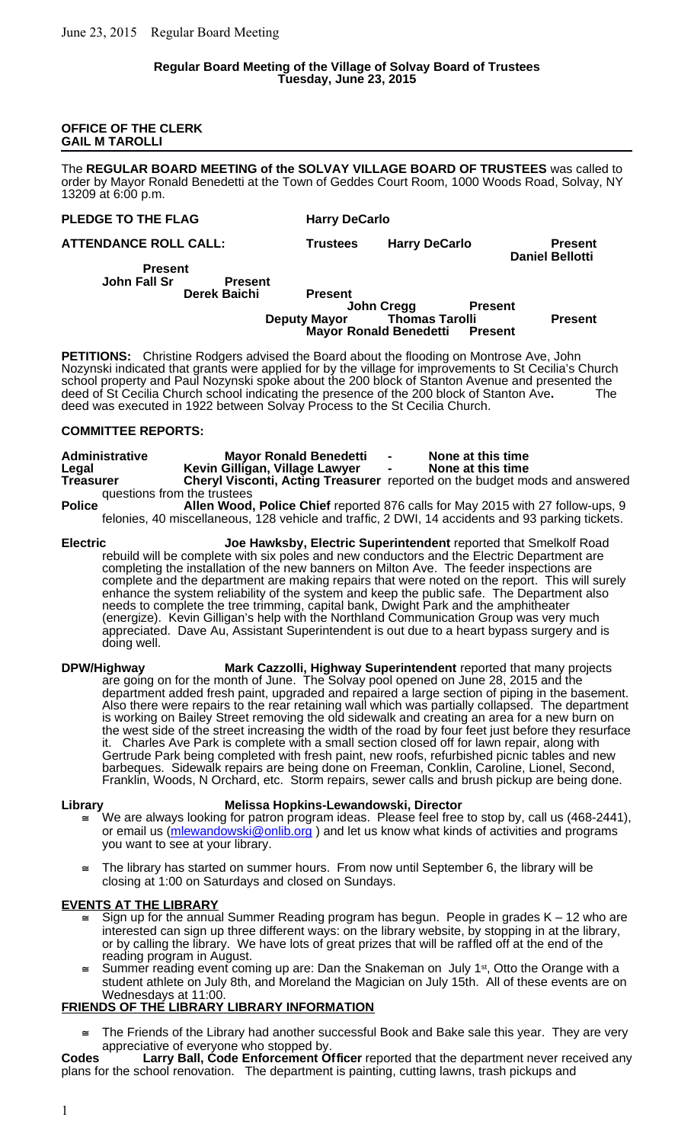## **OFFICE OF THE CLERK GAIL M TAROLLI**

The **REGULAR BOARD MEETING of the SOLVAY VILLAGE BOARD OF TRUSTEES** was called to order by Mayor Ronald Benedetti at the Town of Geddes Court Room, 1000 Woods Road, Solvay, NY 13209 at 6:00 p.m.

## **PLEDGE TO THE FLAG Harry DeCarlo**

**ATTENDANCE ROLL CALL: Trustees Harry DeCarlo Present**

**Daniel Bellotti**

**Present John Fall Sr Present**

## **Derek Baichi Present John Cregg Present**<br>Thomas Tarolli **Deputy Mayor Thomas Tarolli Present Mayor Ronald Benedetti Present**

**PETITIONS:** Christine Rodgers advised the Board about the flooding on Montrose Ave, John Nozynski indicated that grants were applied for by the village for improvements to St Cecilia's Church school property and Paul Nozynski spoke about the 200 block of Stanton Avenue and presented the deed of St Cecilia Church school indicating the presence of the 200 block of Stanton Ave**.** The deed was executed in 1922 between Solvay Process to the St Cecilia Church.

# **COMMITTEE REPORTS:**

| <b>Administrative</b><br>Legal | <b>Mayor Ronald Benedetti</b><br>Kevin Gilligan, Village Lawyer | $\sim$ | None at this time<br>None at this time                                            |
|--------------------------------|-----------------------------------------------------------------|--------|-----------------------------------------------------------------------------------|
| <b>Treasurer</b>               |                                                                 |        | <b>Cheryl Visconti, Acting Treasurer</b> reported on the budget mods and answered |
| questions from the trustees    |                                                                 |        |                                                                                   |

**Police Allen Wood, Police Chief** reported 876 calls for May 2015 with 27 follow-ups, 9 felonies, 40 miscellaneous, 128 vehicle and traffic, 2 DWI, 14 accidents and 93 parking tickets.

**Electric Joe Hawksby, Electric Superintendent** reported that Smelkolf Road rebuild will be complete with six poles and new conductors and the Electric Department are completing the installation of the new banners on Milton Ave. The feeder inspections are complete and the department are making repairs that were noted on the report. This will surely enhance the system reliability of the system and keep the public safe. The Department also needs to complete the tree trimming, capital bank, Dwight Park and the amphitheater (energize). Kevin Gilligan's help with the Northland Communication Group was very much appreciated. Dave Au, Assistant Superintendent is out due to a heart bypass surgery and is doing well.

**DPW/Highway Mark Cazzolli, Highway Superintendent** reported that many projects are going on for the month of June. The Solvay pool opened on June 28, 2015 and the department added fresh paint, upgraded and repaired a large section of piping in the basement. Also there were repairs to the rear retaining wall which was partially collapsed. The department is working on Bailey Street removing the old sidewalk and creating an area for a new burn on the west side of the street increasing the width of the road by four feet just before they resurface it. Charles Ave Park is complete with a small section closed off for lawn repair, along with Gertrude Park being completed with fresh paint, new roofs, refurbished picnic tables and new barbeques. Sidewalk repairs are being done on Freeman, Conklin, Caroline, Lionel, Second, Franklin, Woods, N Orchard, etc. Storm repairs, sewer calls and brush pickup are being done.

# **Library Melissa Hopkins-Lewandowski, Director**

- We are always looking for patron program ideas. Please feel free to stop by, call us (468-2441), or email us (mlewandowski@onlib.org) and let us know what kinds of activities and programs you want to see at your library.
- The library has started on summer hours. From now until September 6, the library will be closing at 1:00 on Saturdays and closed on Sundays.

# **EVENTS AT THE LIBRARY**

- Sign up for the annual Summer Reading program has begun. People in grades K 12 who are interested can sign up three different ways: on the library website, by stopping in at the library, or by calling the library. We have lots of great prizes that will be raffled off at the end of the reading program in August.
- Summer reading event coming up are: Dan the Snakeman on July 1<sup>st</sup>, Otto the Orange with a student athlete on July 8th, and Moreland the Magician on July 15th. All of these events are on Wednesdays at 11:00.

# **FRIENDS OF THE LIBRARY LIBRARY INFORMATION**

 $\equiv$  The Friends of the Library had another successful Book and Bake sale this year. They are very appreciative of everyone who stopped by.

**Codes Larry Ball, Code Enforcement Officer** reported that the department never received any plans for the school renovation. The department is painting, cutting lawns, trash pickups and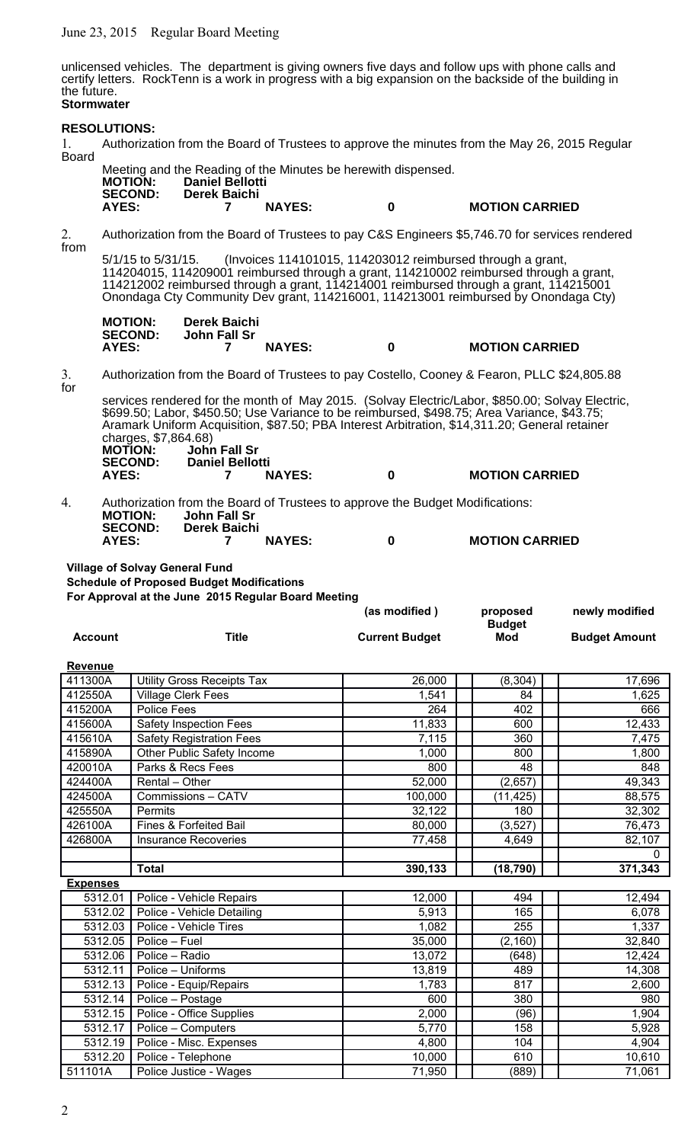June 23, 2015 Regular Board Meeting

unlicensed vehicles. The department is giving owners five days and follow ups with phone calls and certify letters. RockTenn is a work in progress with a big expansion on the backside of the building in the future. **Stormwater**

# **RESOLUTIONS:** 1. Authorization from the Board of Trustees to approve the minutes from the May 26, 2015 Regular Board Meeting and the Reading of the Minutes be herewith dispensed.<br>MOTION: Daniel Bellotti **MOTION: Daniel Bellotti SECOND: Derek Baichi AYES: 7 NAYES: 0 MOTION CARRIED** 2. Authorization from the Board of Trustees to pay C&S Engineers \$5,746.70 for services rendered from 5/1/15 to 5/31/15. (Invoices 114101015, 114203012 reimbursed through a grant, 114204015, 114209001 reimbursed through a grant, 114210002 reimbursed through a grant, 114212002 reimbursed through a grant, 114214001 reimbursed through a grant, 114215001 Onondaga Cty Community Dev grant, 114216001, 114213001 reimbursed by Onondaga Cty) **MOTION:** Derek Baichi<br>SECOND: John Fall Sr<br>AYES: 7 **John Fall Sr AYES: 7 NAYES: 0 MOTION CARRIED** 3. Authorization from the Board of Trustees to pay Costello, Cooney & Fearon, PLLC \$24,805.88 for services rendered for the month of May 2015. (Solvay Electric/Labor, \$850.00; Solvay Electric, \$699.50; Labor, \$450.50; Use Variance to be reimbursed, \$498.75; Area Variance, \$43.75; Aramark Uniform Acquisition, \$87.50; PBA Interest Arbitration, \$14,311.20; General retainer charges, \$7,864.68)<br>**MOTION: Johr MOTION: John Fall Sr SECOND: Daniel Bellotti AYES: 7 NAYES: 0 MOTION CARRIED** 4. Authorization from the Board of Trustees to approve the Budget Modifications:<br> **MOTION:** John Fall Sr **MOTION: John Fall Sr SECOND: Derek Baichi AYES: 7 NAYES: 0 MOTION CARRIED Village of Solvay General Fund Schedule of Proposed Budget Modifications For Approval at the June 2015 Regular Board Meeting (as modified ) proposed newly modified Account Title Current Budget Budget Budget Amount Revenue** 411300A | Utility Gross Receipts Tax | 26,000 | | (8,304) | | 17,696 412550A Village Clerk Fees 1,541 84 1,625 415200A | Police Fees 264 | | 402 | | 666 415600A Safety Inspection Fees 11,833 600 12,433 415610A Safety Registration Fees | 7,115 | 360 | 7,475 415890A | Other Public Safety Income | 1,000 | | 800 | | 1,800 420010A Parks & Recs Fees 800 | 848 | 848 424400A Rental – Other 1980 (2,657) 49,343 424500A Commissions – CATV | 100,000 | (11,425) | 88,575 425550A | Permits 32,122 | | 180 | | 32,302 426100A | Fines & Forfeited Bail 1990 10000 | 3,527) | 36,473 426800A | Insurance Recoveries | 77,458 | 4,649 | 82,107  $\overline{0}$ **Total 390,133 (18,790) 371,343 Expenses** 5312.01 | Police - Vehicle Repairs | 12,000 | | 12,994 | | 12,494 5312.02 Police - Vehicle Detailing 165 | 165 | 6,078 5312.03 Police - Vehicle Tires 1,082 | 255 | 255 | 255 | 2.337 5312.05 Police – Fuel 2,160 (2,160) 32,840 5312.06 Police – Radio 13,072 | (648) 12,424 5312.11 Police – Uniforms 13,819 13,819 1489 14,308 5312.13 Police - Equip/Repairs 1,783 | 817 | 2,600 5312.14 Police – Postage **600 | Sand Alexander 1980 600 | Sand Alexander 1980** 5312.15 Police - Office Supplies 2,000 | (96) | (96) | 1,904 5312.17 Police – Computers 15,770 | 158 | 5,928

5312.19 Police - Misc. Expenses 4,800 104 104 4,904 5312.20 Police - Telephone 10,000 | 610 | 610 | 610 | 610 | 610 511101A Police Justice - Wages 71,950 (889) 71,061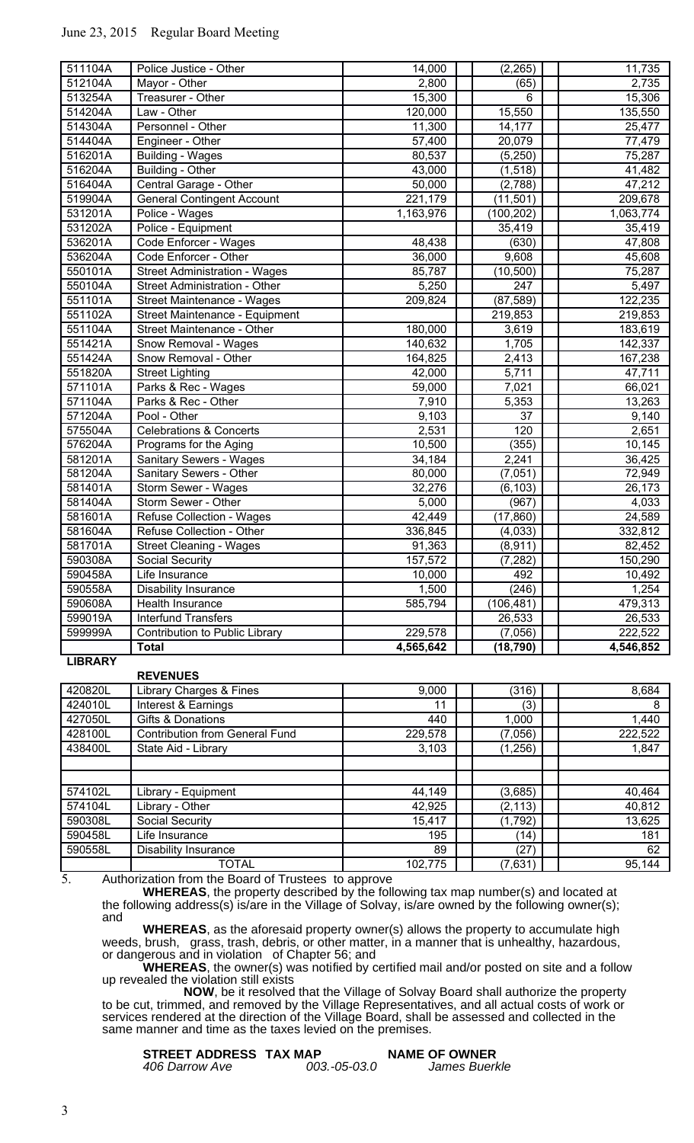|                    | <b>Total</b>                                                       | 4,565,642          | (18, 790)        | 4,546,852          |
|--------------------|--------------------------------------------------------------------|--------------------|------------------|--------------------|
| 599999A            | Contribution to Public Library                                     | 229,578            | (7,056)          | 222,522            |
| 599019A            | <b>Interfund Transfers</b>                                         |                    | 26,533           | 26,533             |
| 590608A            | Health Insurance                                                   | 585,794            | (106, 481)       | 479,313            |
| 590558A            | <b>Disability Insurance</b>                                        | 1,500              | (246)            | 1,254              |
| 590458A            | Life Insurance                                                     | 10,000             | 492              | 10,492             |
| 590308A            | Social Security                                                    | 157,572            | (7, 282)         | 150,290            |
| 581701A            | <b>Street Cleaning - Wages</b>                                     | 91,363             | (8,911)          | 82,452             |
| 581604A            | Refuse Collection - Other                                          | 336,845            | (4,033)          | 332,812            |
| 581601A            | Refuse Collection - Wages                                          | 42,449             | (17, 860)        | 24,589             |
| 581404A            | Storm Sewer - Other                                                | 5,000              | (967)            | 4,033              |
| 581401A            | Storm Sewer - Wages                                                | 32,276             | (6, 103)         | 26,173             |
| 581204A            | Sanitary Sewers - Other                                            | 80,000             | (7,051)          | 72,949             |
| 581201A            | Sanitary Sewers - Wages                                            | 34,184             | 2,241            | 36,425             |
| 576204A            | Programs for the Aging                                             | 10,500             | (355)            | 10,145             |
| 575504A            | <b>Celebrations &amp; Concerts</b>                                 | 2,531              | 120              | 2,651              |
| 571204A            | Pool - Other                                                       | 9,103              | 37               | 9,140              |
| 571104A            | Parks & Rec - Other                                                | 7,910              | 5,353            | 13,263             |
| 571101A            | Parks & Rec - Wages                                                | 59,000             | 7,021            | 66,021             |
| 551820A            | <b>Street Lighting</b>                                             | 42,000             | 5,711            | 47,711             |
| 551424A            | Snow Removal - Wages<br>Snow Removal - Other                       | 164,825            | 2,413            | 142,337<br>167,238 |
| 551421A            |                                                                    | 180,000<br>140,632 | 1,705            | 183,619            |
| 551104A            | Street Maintenance - Equipment<br>Street Maintenance - Other       |                    | 219,853<br>3,619 | 219,853            |
| 551101A<br>551102A |                                                                    | 209,824            | (87, 589)        | 122,235            |
| 550104A            | Street Administration - Other<br><b>Street Maintenance - Wages</b> | 5,250              | 247              | 5,497              |
| 550101A            | <b>Street Administration - Wages</b>                               | 85,787             | (10, 500)        | 75,287             |
| 536204A            | Code Enforcer - Other                                              | 36,000             | 9,608            | 45,608             |
| 536201A            | Code Enforcer - Wages                                              | 48,438             | (630)            | 47,808             |
| 531202A            | Police - Equipment                                                 |                    | 35,419           | 35,419             |
| 531201A            | Police - Wages                                                     | 1,163,976          | (100, 202)       | 1,063,774          |
| 519904A            | <b>General Contingent Account</b>                                  | 221,179            | (11, 501)        | 209,678            |
| 516404A            | Central Garage - Other                                             | 50,000             | (2,788)          | 47,212             |
| 516204A            | Building - Other                                                   | 43,000             | (1, 518)         | 41,482             |
| 516201A            | <b>Building - Wages</b>                                            | 80,537             | (5,250)          | 75,287             |
| 514404A            | Engineer - Other                                                   | 57,400             | 20,079           | 77,479             |
| 514304A            | Personnel - Other                                                  | 11,300             | 14,177           | 25,477             |
| 514204A            | Law - Other                                                        | 120,000            | 15,550           | 135,550            |
| 513254A            | Treasurer - Other                                                  | 15,300             | 6                | 15,306             |
| 512104A            | Mayor - Other                                                      | 2,800              | (65)             | 2,735              |
| 511104A            | Police Justice - Other                                             | 14,000             | (2, 265)         | 11,735             |

# June 23, 2015 Regular Board Meeting

## **LIBRARY**

### **REVENUES**

| 420820L | Library Charges & Fines               | 9,000   | (316)    | 8,684   |
|---------|---------------------------------------|---------|----------|---------|
| 424010L | Interest & Earnings                   | 11      | (3)      | 8       |
| 427050L | Gifts & Donations                     | 440     | 1,000    | 1,440   |
| 428100L | <b>Contribution from General Fund</b> | 229,578 | (7,056)  | 222,522 |
| 438400L | State Aid - Library                   | 3,103   | (1,256)  | 1,847   |
|         |                                       |         |          |         |
|         |                                       |         |          |         |
| 574102L | Library - Equipment                   | 44,149  | (3,685)  | 40,464  |
| 574104L | Library - Other                       | 42,925  | (2, 113) | 40,812  |
| 590308L | Social Security                       | 15,417  | (1,792)  | 13,625  |
| 590458L | Life Insurance                        | 195     | (14)     | 181     |
| 590558L | <b>Disability Insurance</b>           | 89      | (27)     | 62      |
|         | TOTAL                                 | 102,775 | (7,631)  | 95,144  |

5. Authorization from the Board of Trustees to approve

**WHEREAS**, the property described by the following tax map number(s) and located at the following address(s) is/are in the Village of Solvay, is/are owned by the following owner(s); and

**WHEREAS**, as the aforesaid property owner(s) allows the property to accumulate high weeds, brush, grass, trash, debris, or other matter, in a manner that is unhealthy, hazardous, or dangerous and in violation of Chapter 56; and

**WHEREAS**, the owner(s) was notified by certified mail and/or posted on site and a follow up revealed the violation still exists

**NOW**, be it resolved that the Village of Solvay Board shall authorize the property to be cut, trimmed, and removed by the Village Representatives, and all actual costs of work or services rendered at the direction of the Village Board, shall be assessed and collected in the same manner and time as the taxes levied on the premises.

| STREET ADDRESS TAX MAP |              | <b>NAME OF OWNER</b> |
|------------------------|--------------|----------------------|
| 406 Darrow Ave         | 003.-05-03.0 | James Buerkle        |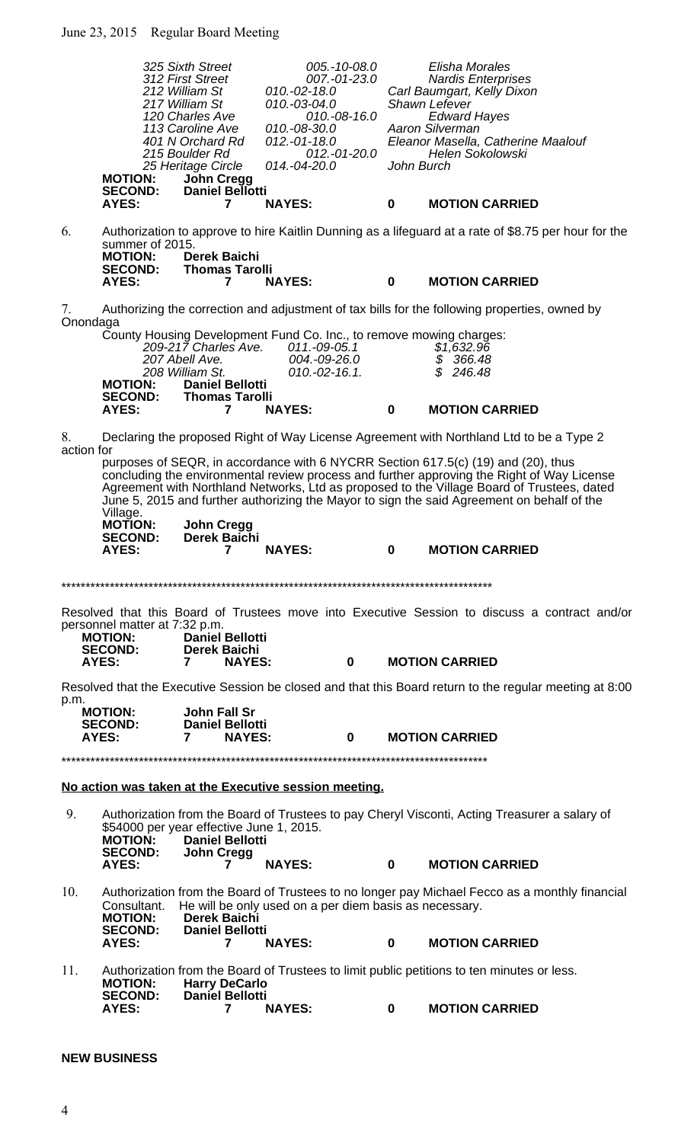|                | <b>MOTION:</b><br><b>SECOND:</b>                                                  | 325 Sixth Street<br>312 First Street<br>212 William St<br>217 William St<br>120 Charles Ave<br>113 Caroline Ave<br>401 N Orchard Rd<br>215 Boulder Rd<br>25 Heritage Circle<br><b>John Cregg</b><br><b>Daniel Bellotti</b> | $005.-10-08.0$<br>007.-01-23.0<br>$010.-02-.18.0$<br>010.-03-04.0<br>010.-08-16.0<br>010.-08-30.0<br>012.-01-18.0<br>012.-01-20.0<br>014.-04-20.0 | John Burch  | Elisha Morales<br><b>Nardis Enterprises</b><br>Carl Baumgart, Kelly Dixon<br>Shawn Lefever<br><b>Edward Hayes</b><br>Aaron Silverman<br>Eleanor Masella, Catherine Maalouf<br><b>Helen Sokolowski</b>                                                                                                                                                                       |
|----------------|-----------------------------------------------------------------------------------|----------------------------------------------------------------------------------------------------------------------------------------------------------------------------------------------------------------------------|---------------------------------------------------------------------------------------------------------------------------------------------------|-------------|-----------------------------------------------------------------------------------------------------------------------------------------------------------------------------------------------------------------------------------------------------------------------------------------------------------------------------------------------------------------------------|
|                | AYES:                                                                             | 7                                                                                                                                                                                                                          | <b>NAYES:</b>                                                                                                                                     | $\mathbf 0$ | <b>MOTION CARRIED</b>                                                                                                                                                                                                                                                                                                                                                       |
| 6.             | summer of 2015.<br><b>MOTION:</b><br><b>SECOND:</b>                               | <b>Derek Baichi</b><br><b>Thomas Tarolli</b>                                                                                                                                                                               |                                                                                                                                                   |             | Authorization to approve to hire Kaitlin Dunning as a lifeguard at a rate of \$8.75 per hour for the                                                                                                                                                                                                                                                                        |
|                | AYES:                                                                             | $\overline{7}$                                                                                                                                                                                                             | <b>NAYES:</b>                                                                                                                                     | $\mathbf 0$ | <b>MOTION CARRIED</b>                                                                                                                                                                                                                                                                                                                                                       |
| 7.<br>Onondaga |                                                                                   |                                                                                                                                                                                                                            |                                                                                                                                                   |             | Authorizing the correction and adjustment of tax bills for the following properties, owned by                                                                                                                                                                                                                                                                               |
|                | <b>MOTION:</b>                                                                    | 209-217 Charles Ave.<br>207 Abell Ave.<br>208 William St.<br><b>Daniel Bellotti</b>                                                                                                                                        | County Housing Development Fund Co. Inc., to remove mowing charges:<br>011.-09-05.1<br>004.-09-26.0<br>$010.-02-16.1.$                            |             | \$1,632.96<br>\$366.48<br>$\overline{\mathcal{S}}$<br>246.48                                                                                                                                                                                                                                                                                                                |
|                | <b>SECOND:</b><br><b>AYES:</b>                                                    | <b>Thomas Tarolli</b><br>7                                                                                                                                                                                                 | <b>NAYES:</b>                                                                                                                                     | $\mathbf 0$ | <b>MOTION CARRIED</b>                                                                                                                                                                                                                                                                                                                                                       |
| 8.             |                                                                                   |                                                                                                                                                                                                                            |                                                                                                                                                   |             | Declaring the proposed Right of Way License Agreement with Northland Ltd to be a Type 2                                                                                                                                                                                                                                                                                     |
| action for     | Village.<br><b>MOTION:</b>                                                        | <b>John Cregg</b>                                                                                                                                                                                                          |                                                                                                                                                   |             | purposes of SEQR, in accordance with 6 NYCRR Section 617.5(c) (19) and (20), thus<br>concluding the environmental review process and further approving the Right of Way License<br>Agreement with Northland Networks, Ltd as proposed to the Village Board of Trustees, dated<br>June 5, 2015 and further authorizing the Mayor to sign the said Agreement on behalf of the |
|                | <b>SECOND:</b><br>AYES:                                                           | Derek Baichi<br>7                                                                                                                                                                                                          | <b>NAYES:</b>                                                                                                                                     | 0           | <b>MOTION CARRIED</b>                                                                                                                                                                                                                                                                                                                                                       |
|                |                                                                                   |                                                                                                                                                                                                                            |                                                                                                                                                   |             |                                                                                                                                                                                                                                                                                                                                                                             |
|                | personnel matter at 7:32 p.m.<br><b>MOTION:</b><br><b>SECOND:</b><br><b>AYES:</b> | <b>Daniel Bellotti</b><br><b>Derek Baichi</b><br><b>NAYES:</b><br>7                                                                                                                                                        | $\mathbf 0$                                                                                                                                       |             | Resolved that this Board of Trustees move into Executive Session to discuss a contract and/or<br><b>MOTION CARRIED</b>                                                                                                                                                                                                                                                      |
|                |                                                                                   |                                                                                                                                                                                                                            |                                                                                                                                                   |             | Resolved that the Executive Session be closed and that this Board return to the regular meeting at 8:00                                                                                                                                                                                                                                                                     |
| p.m.           | <b>MOTION:</b><br><b>SECOND:</b><br>AYES:                                         | John Fall Sr<br><b>Daniel Bellotti</b><br><b>NAYES:</b><br>7                                                                                                                                                               | 0                                                                                                                                                 |             | <b>MOTION CARRIED</b>                                                                                                                                                                                                                                                                                                                                                       |
|                |                                                                                   |                                                                                                                                                                                                                            |                                                                                                                                                   |             |                                                                                                                                                                                                                                                                                                                                                                             |
|                |                                                                                   |                                                                                                                                                                                                                            | No action was taken at the Executive session meeting.                                                                                             |             |                                                                                                                                                                                                                                                                                                                                                                             |
| 9.             | <b>MOTION:</b><br><b>SECOND:</b>                                                  | \$54000 per year effective June 1, 2015.<br><b>Daniel Bellotti</b><br><b>John Cregg</b>                                                                                                                                    |                                                                                                                                                   |             | Authorization from the Board of Trustees to pay Cheryl Visconti, Acting Treasurer a salary of                                                                                                                                                                                                                                                                               |
|                | <b>AYES:</b>                                                                      | 7                                                                                                                                                                                                                          | <b>NAYES:</b>                                                                                                                                     | $\bf{0}$    | <b>MOTION CARRIED</b>                                                                                                                                                                                                                                                                                                                                                       |
| 10.            | Consultant.<br><b>MOTION:</b><br><b>SECOND:</b>                                   | <b>Derek Baichi</b><br><b>Daniel Bellotti</b>                                                                                                                                                                              | He will be only used on a per diem basis as necessary.                                                                                            |             | Authorization from the Board of Trustees to no longer pay Michael Fecco as a monthly financial                                                                                                                                                                                                                                                                              |
|                | AYES:                                                                             | 7                                                                                                                                                                                                                          | <b>NAYES:</b>                                                                                                                                     | $\bf{0}$    | <b>MOTION CARRIED</b>                                                                                                                                                                                                                                                                                                                                                       |
| 11.            | <b>MOTION:</b><br><b>SECOND:</b>                                                  | <b>Harry DeCarlo</b><br><b>Daniel Bellotti</b>                                                                                                                                                                             |                                                                                                                                                   |             | Authorization from the Board of Trustees to limit public petitions to ten minutes or less.                                                                                                                                                                                                                                                                                  |

# **NEW BUSINESS**